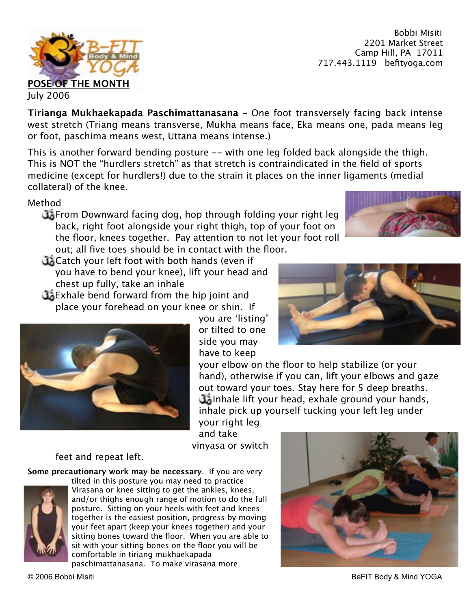Bobbi Misiti 2201 Market Street Camp Hill, PA 17011 717.443.1119 befityoga.com



This is another forward bending posture -- with one leg folded back alongside the thigh. This is NOT the "hurdlers stretch" as that stretch is contraindicated in the field of sports medicine (except for hurdlers!) due to the strain it places on the inner ligaments (medial collateral) of the knee.

Method

**J**From Downward facing dog, hop through folding your right leg back, right foot alongside your right thigh, top of your foot on the floor, knees together. Pay attention to not let your foot roll out; all five toes should be in contact with the floor.

- **Catch your left foot with both hands (even if** you have to bend your knee), lift your head and chest up fully, take an inhale
- **Exhale bend forward from the hip joint and** place your forehead on your knee or shin. If



you are 'listing' or tilted to one side you may have to keep

your elbow on the floor to help stabilize (or your hand), otherwise if you can, lift your elbows and gaze out toward your toes. Stay here for 5 deep breaths. Inhale lift your head, exhale ground your hands, inhale pick up yourself tucking your left leg under

your right leg and take vinyasa or switch

## feet and repeat left.

**Some precautionary work may be necessary**. If you are very



tilted in this posture you may need to practice Virasana or knee sitting to get the ankles, knees, and/or thighs enough range of motion to do the full posture. Sitting on your heels with feet and knees together is the easiest position, progress by moving your feet apart (keep your knees together) and your sitting bones toward the floor. When you are able to sit with your sitting bones on the floor you will be comfortable in tiriang mukhaekapada

paschimattanasana. To make virasana more